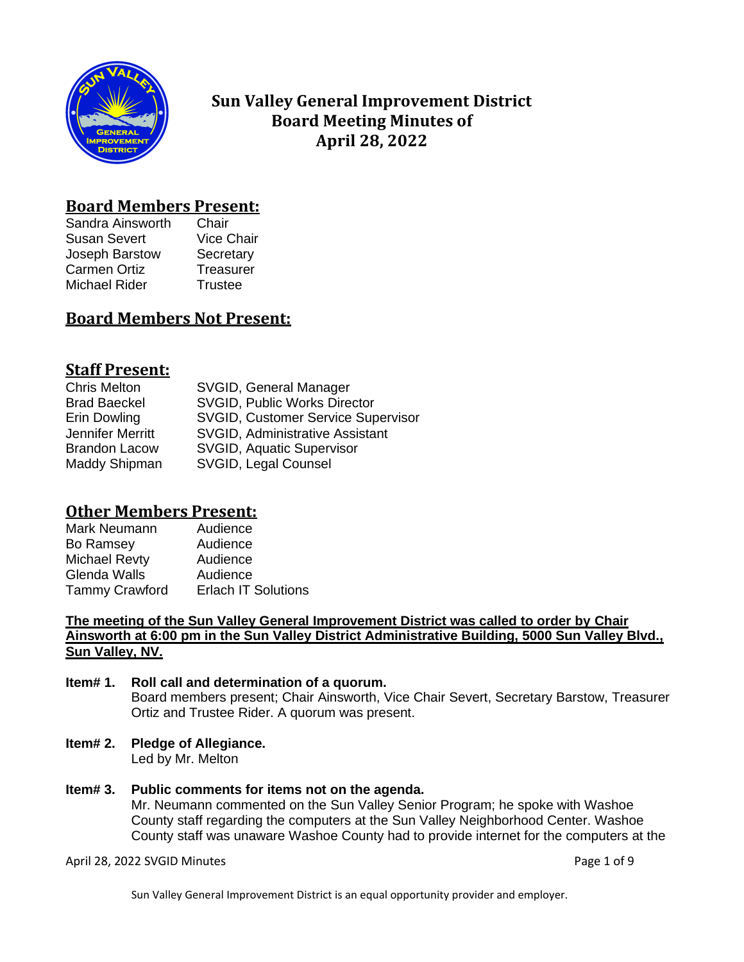

# **Sun Valley General Improvement District Board Meeting Minutes of April 28, 2022**

## **Board Members Present:**

Sandra Ainsworth Chair Susan Severt Vice Chair Joseph Barstow Secretary Carmen Ortiz **Treasurer** Michael Rider Trustee

# **Board Members Not Present:**

# **Staff Present:**

| <b>Chris Melton</b>  | SVGID, General Manager                    |
|----------------------|-------------------------------------------|
| <b>Brad Baeckel</b>  | <b>SVGID, Public Works Director</b>       |
| Erin Dowling         | <b>SVGID, Customer Service Supervisor</b> |
| Jennifer Merritt     | <b>SVGID, Administrative Assistant</b>    |
| <b>Brandon Lacow</b> | <b>SVGID, Aquatic Supervisor</b>          |
| Maddy Shipman        | SVGID, Legal Counsel                      |

## **Other Members Present:**

| Audience                   |
|----------------------------|
| Audience                   |
| Audience                   |
| Audience                   |
| <b>Erlach IT Solutions</b> |
|                            |

**The meeting of the Sun Valley General Improvement District was called to order by Chair Ainsworth at 6:00 pm in the Sun Valley District Administrative Building, 5000 Sun Valley Blvd., Sun Valley, NV.**

#### **Item# 1. Roll call and determination of a quorum.** Board members present; Chair Ainsworth, Vice Chair Severt, Secretary Barstow, Treasurer Ortiz and Trustee Rider. A quorum was present.

**Item# 2. Pledge of Allegiance.**

Led by Mr. Melton

### **Item# 3. Public comments for items not on the agenda.**

Mr. Neumann commented on the Sun Valley Senior Program; he spoke with Washoe County staff regarding the computers at the Sun Valley Neighborhood Center. Washoe County staff was unaware Washoe County had to provide internet for the computers at the

April 28, 2022 SVGID Minutes **Page 1 of 9**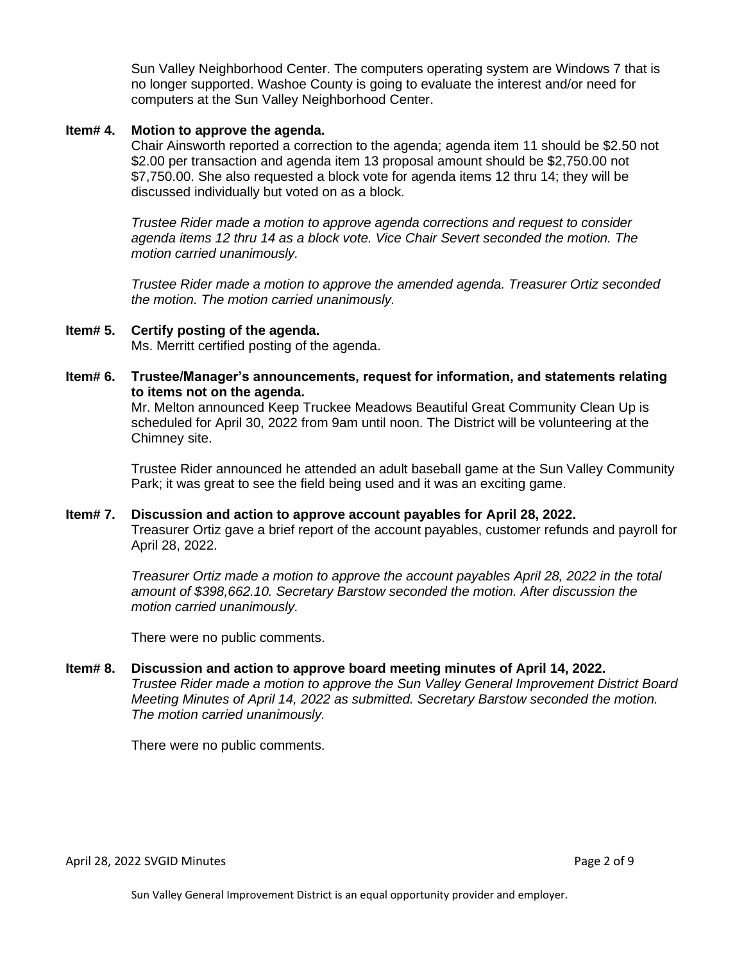Sun Valley Neighborhood Center. The computers operating system are Windows 7 that is no longer supported. Washoe County is going to evaluate the interest and/or need for computers at the Sun Valley Neighborhood Center.

### **Item# 4. Motion to approve the agenda.**

Chair Ainsworth reported a correction to the agenda; agenda item 11 should be \$2.50 not \$2.00 per transaction and agenda item 13 proposal amount should be \$2,750.00 not \$7,750.00. She also requested a block vote for agenda items 12 thru 14; they will be discussed individually but voted on as a block.

*Trustee Rider made a motion to approve agenda corrections and request to consider agenda items 12 thru 14 as a block vote. Vice Chair Severt seconded the motion. The motion carried unanimously.*

*Trustee Rider made a motion to approve the amended agenda. Treasurer Ortiz seconded the motion. The motion carried unanimously.* 

- **Item# 5. Certify posting of the agenda.** Ms. Merritt certified posting of the agenda.
- **Item# 6. Trustee/Manager's announcements, request for information, and statements relating to items not on the agenda.**

Mr. Melton announced Keep Truckee Meadows Beautiful Great Community Clean Up is scheduled for April 30, 2022 from 9am until noon. The District will be volunteering at the Chimney site.

Trustee Rider announced he attended an adult baseball game at the Sun Valley Community Park; it was great to see the field being used and it was an exciting game.

#### **Item# 7. Discussion and action to approve account payables for April 28, 2022.**  Treasurer Ortiz gave a brief report of the account payables, customer refunds and payroll for April 28, 2022.

*Treasurer Ortiz made a motion to approve the account payables April 28, 2022 in the total amount of \$398,662.10. Secretary Barstow seconded the motion. After discussion the motion carried unanimously.*

There were no public comments.

#### **Item# 8. Discussion and action to approve board meeting minutes of April 14, 2022.**

*Trustee Rider made a motion to approve the Sun Valley General Improvement District Board Meeting Minutes of April 14, 2022 as submitted. Secretary Barstow seconded the motion. The motion carried unanimously.*

There were no public comments.

April 28, 2022 SVGID Minutes **Page 2 of 9** and 2011 12:00 and 2012 12:00 and 2012 12:00 and 2013 12:00 and 2013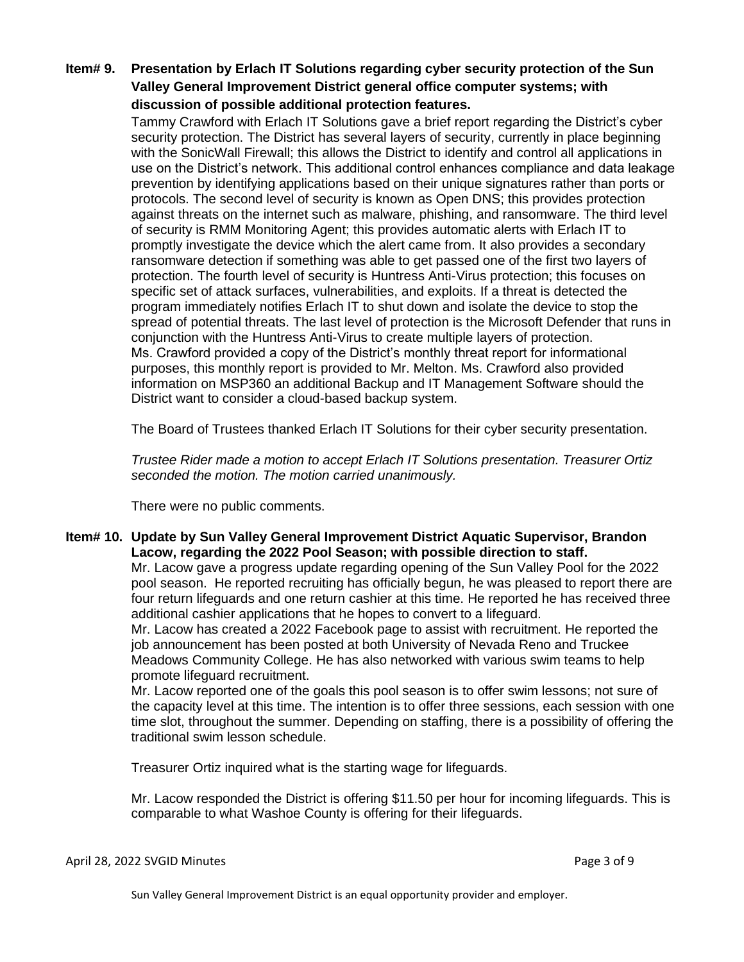### **Item# 9. Presentation by Erlach IT Solutions regarding cyber security protection of the Sun Valley General Improvement District general office computer systems; with discussion of possible additional protection features.**

Tammy Crawford with Erlach IT Solutions gave a brief report regarding the District's cyber security protection. The District has several layers of security, currently in place beginning with the SonicWall Firewall; this allows the District to identify and control all applications in use on the District's network. This additional control enhances compliance and data leakage prevention by identifying applications based on their unique signatures rather than ports or protocols. The second level of security is known as Open DNS; this provides protection against threats on the internet such as malware, phishing, and ransomware. The third level of security is RMM Monitoring Agent; this provides automatic alerts with Erlach IT to promptly investigate the device which the alert came from. It also provides a secondary ransomware detection if something was able to get passed one of the first two layers of protection. The fourth level of security is Huntress Anti-Virus protection; this focuses on specific set of attack surfaces, vulnerabilities, and exploits. If a threat is detected the program immediately notifies Erlach IT to shut down and isolate the device to stop the spread of potential threats. The last level of protection is the Microsoft Defender that runs in conjunction with the Huntress Anti-Virus to create multiple layers of protection. Ms. Crawford provided a copy of the District's monthly threat report for informational purposes, this monthly report is provided to Mr. Melton. Ms. Crawford also provided information on MSP360 an additional Backup and IT Management Software should the District want to consider a cloud-based backup system.

The Board of Trustees thanked Erlach IT Solutions for their cyber security presentation.

*Trustee Rider made a motion to accept Erlach IT Solutions presentation. Treasurer Ortiz seconded the motion. The motion carried unanimously.* 

There were no public comments.

#### **Item# 10. Update by Sun Valley General Improvement District Aquatic Supervisor, Brandon Lacow, regarding the 2022 Pool Season; with possible direction to staff.**

Mr. Lacow gave a progress update regarding opening of the Sun Valley Pool for the 2022 pool season. He reported recruiting has officially begun, he was pleased to report there are four return lifeguards and one return cashier at this time. He reported he has received three additional cashier applications that he hopes to convert to a lifeguard.

Mr. Lacow has created a 2022 Facebook page to assist with recruitment. He reported the job announcement has been posted at both University of Nevada Reno and Truckee Meadows Community College. He has also networked with various swim teams to help promote lifeguard recruitment.

Mr. Lacow reported one of the goals this pool season is to offer swim lessons; not sure of the capacity level at this time. The intention is to offer three sessions, each session with one time slot, throughout the summer. Depending on staffing, there is a possibility of offering the traditional swim lesson schedule.

Treasurer Ortiz inquired what is the starting wage for lifeguards.

Mr. Lacow responded the District is offering \$11.50 per hour for incoming lifeguards. This is comparable to what Washoe County is offering for their lifeguards.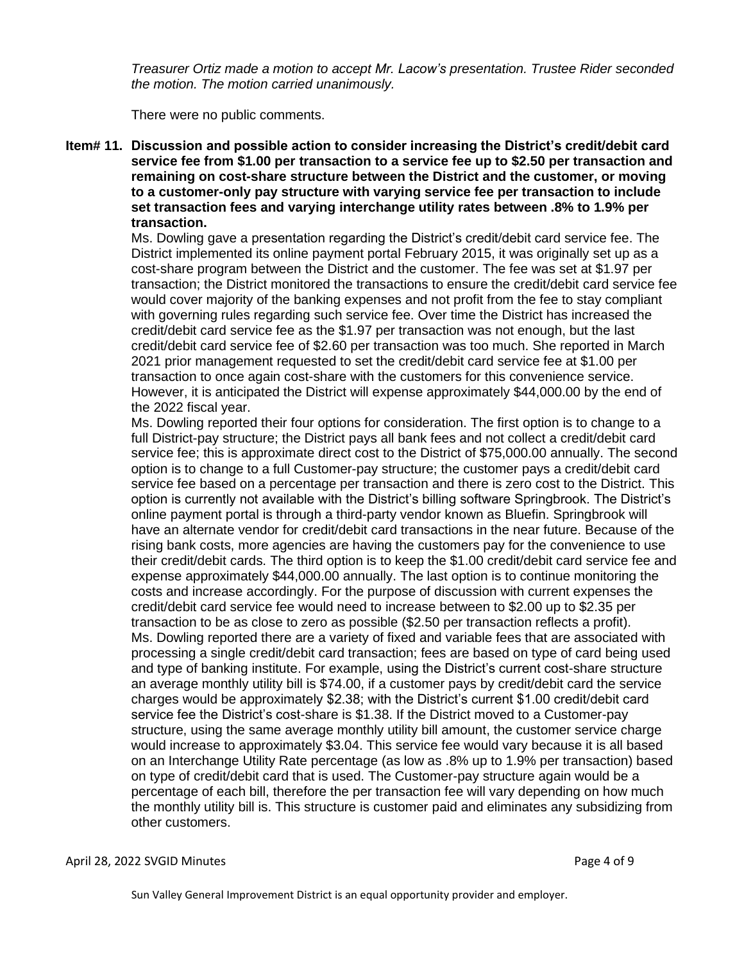*Treasurer Ortiz made a motion to accept Mr. Lacow's presentation. Trustee Rider seconded the motion. The motion carried unanimously.*

There were no public comments.

**Item# 11. Discussion and possible action to consider increasing the District's credit/debit card service fee from \$1.00 per transaction to a service fee up to \$2.50 per transaction and remaining on cost-share structure between the District and the customer, or moving to a customer-only pay structure with varying service fee per transaction to include set transaction fees and varying interchange utility rates between .8% to 1.9% per transaction.** 

Ms. Dowling gave a presentation regarding the District's credit/debit card service fee. The District implemented its online payment portal February 2015, it was originally set up as a cost-share program between the District and the customer. The fee was set at \$1.97 per transaction; the District monitored the transactions to ensure the credit/debit card service fee would cover majority of the banking expenses and not profit from the fee to stay compliant with governing rules regarding such service fee. Over time the District has increased the credit/debit card service fee as the \$1.97 per transaction was not enough, but the last credit/debit card service fee of \$2.60 per transaction was too much. She reported in March 2021 prior management requested to set the credit/debit card service fee at \$1.00 per transaction to once again cost-share with the customers for this convenience service. However, it is anticipated the District will expense approximately \$44,000.00 by the end of the 2022 fiscal year.

Ms. Dowling reported their four options for consideration. The first option is to change to a full District-pay structure; the District pays all bank fees and not collect a credit/debit card service fee; this is approximate direct cost to the District of \$75,000.00 annually. The second option is to change to a full Customer-pay structure; the customer pays a credit/debit card service fee based on a percentage per transaction and there is zero cost to the District. This option is currently not available with the District's billing software Springbrook. The District's online payment portal is through a third-party vendor known as Bluefin. Springbrook will have an alternate vendor for credit/debit card transactions in the near future. Because of the rising bank costs, more agencies are having the customers pay for the convenience to use their credit/debit cards. The third option is to keep the \$1.00 credit/debit card service fee and expense approximately \$44,000.00 annually. The last option is to continue monitoring the costs and increase accordingly. For the purpose of discussion with current expenses the credit/debit card service fee would need to increase between to \$2.00 up to \$2.35 per transaction to be as close to zero as possible (\$2.50 per transaction reflects a profit). Ms. Dowling reported there are a variety of fixed and variable fees that are associated with processing a single credit/debit card transaction; fees are based on type of card being used and type of banking institute. For example, using the District's current cost-share structure an average monthly utility bill is \$74.00, if a customer pays by credit/debit card the service charges would be approximately \$2.38; with the District's current \$1.00 credit/debit card service fee the District's cost-share is \$1.38. If the District moved to a Customer-pay structure, using the same average monthly utility bill amount, the customer service charge would increase to approximately \$3.04. This service fee would vary because it is all based on an Interchange Utility Rate percentage (as low as .8% up to 1.9% per transaction) based on type of credit/debit card that is used. The Customer-pay structure again would be a percentage of each bill, therefore the per transaction fee will vary depending on how much the monthly utility bill is. This structure is customer paid and eliminates any subsidizing from other customers.

#### April 28, 2022 SVGID Minutes **Page 4 of 9**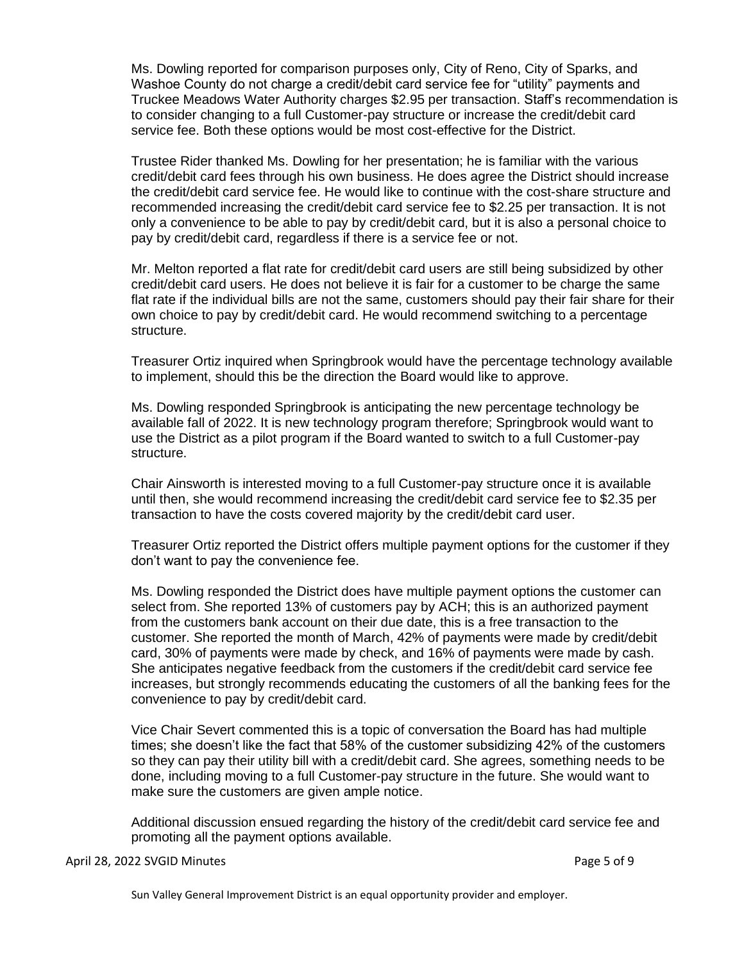Ms. Dowling reported for comparison purposes only, City of Reno, City of Sparks, and Washoe County do not charge a credit/debit card service fee for "utility" payments and Truckee Meadows Water Authority charges \$2.95 per transaction. Staff's recommendation is to consider changing to a full Customer-pay structure or increase the credit/debit card service fee. Both these options would be most cost-effective for the District.

Trustee Rider thanked Ms. Dowling for her presentation; he is familiar with the various credit/debit card fees through his own business. He does agree the District should increase the credit/debit card service fee. He would like to continue with the cost-share structure and recommended increasing the credit/debit card service fee to \$2.25 per transaction. It is not only a convenience to be able to pay by credit/debit card, but it is also a personal choice to pay by credit/debit card, regardless if there is a service fee or not.

Mr. Melton reported a flat rate for credit/debit card users are still being subsidized by other credit/debit card users. He does not believe it is fair for a customer to be charge the same flat rate if the individual bills are not the same, customers should pay their fair share for their own choice to pay by credit/debit card. He would recommend switching to a percentage structure.

Treasurer Ortiz inquired when Springbrook would have the percentage technology available to implement, should this be the direction the Board would like to approve.

Ms. Dowling responded Springbrook is anticipating the new percentage technology be available fall of 2022. It is new technology program therefore; Springbrook would want to use the District as a pilot program if the Board wanted to switch to a full Customer-pay structure.

Chair Ainsworth is interested moving to a full Customer-pay structure once it is available until then, she would recommend increasing the credit/debit card service fee to \$2.35 per transaction to have the costs covered majority by the credit/debit card user.

Treasurer Ortiz reported the District offers multiple payment options for the customer if they don't want to pay the convenience fee.

Ms. Dowling responded the District does have multiple payment options the customer can select from. She reported 13% of customers pay by ACH; this is an authorized payment from the customers bank account on their due date, this is a free transaction to the customer. She reported the month of March, 42% of payments were made by credit/debit card, 30% of payments were made by check, and 16% of payments were made by cash. She anticipates negative feedback from the customers if the credit/debit card service fee increases, but strongly recommends educating the customers of all the banking fees for the convenience to pay by credit/debit card.

Vice Chair Severt commented this is a topic of conversation the Board has had multiple times; she doesn't like the fact that 58% of the customer subsidizing 42% of the customers so they can pay their utility bill with a credit/debit card. She agrees, something needs to be done, including moving to a full Customer-pay structure in the future. She would want to make sure the customers are given ample notice.

Additional discussion ensued regarding the history of the credit/debit card service fee and promoting all the payment options available.

April 28, 2022 SVGID Minutes **Page 5 of 9**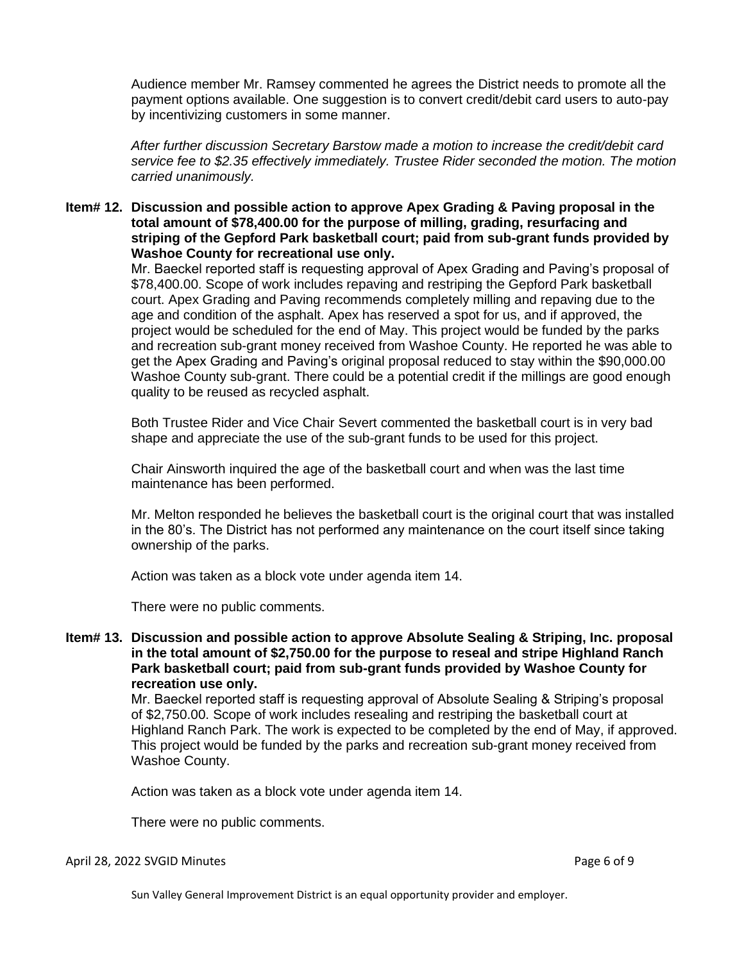Audience member Mr. Ramsey commented he agrees the District needs to promote all the payment options available. One suggestion is to convert credit/debit card users to auto-pay by incentivizing customers in some manner.

*After further discussion Secretary Barstow made a motion to increase the credit/debit card service fee to \$2.35 effectively immediately. Trustee Rider seconded the motion. The motion carried unanimously.*

**Item# 12. Discussion and possible action to approve Apex Grading & Paving proposal in the total amount of \$78,400.00 for the purpose of milling, grading, resurfacing and striping of the Gepford Park basketball court; paid from sub-grant funds provided by Washoe County for recreational use only.** 

> Mr. Baeckel reported staff is requesting approval of Apex Grading and Paving's proposal of \$78,400.00. Scope of work includes repaving and restriping the Gepford Park basketball court. Apex Grading and Paving recommends completely milling and repaving due to the age and condition of the asphalt. Apex has reserved a spot for us, and if approved, the project would be scheduled for the end of May. This project would be funded by the parks and recreation sub-grant money received from Washoe County. He reported he was able to get the Apex Grading and Paving's original proposal reduced to stay within the \$90,000.00 Washoe County sub-grant. There could be a potential credit if the millings are good enough quality to be reused as recycled asphalt.

Both Trustee Rider and Vice Chair Severt commented the basketball court is in very bad shape and appreciate the use of the sub-grant funds to be used for this project.

Chair Ainsworth inquired the age of the basketball court and when was the last time maintenance has been performed.

Mr. Melton responded he believes the basketball court is the original court that was installed in the 80's. The District has not performed any maintenance on the court itself since taking ownership of the parks.

Action was taken as a block vote under agenda item 14.

There were no public comments.

### **Item# 13. Discussion and possible action to approve Absolute Sealing & Striping, Inc. proposal in the total amount of \$2,750.00 for the purpose to reseal and stripe Highland Ranch Park basketball court; paid from sub-grant funds provided by Washoe County for recreation use only.**

Mr. Baeckel reported staff is requesting approval of Absolute Sealing & Striping's proposal of \$2,750.00. Scope of work includes resealing and restriping the basketball court at Highland Ranch Park. The work is expected to be completed by the end of May, if approved. This project would be funded by the parks and recreation sub-grant money received from Washoe County.

Action was taken as a block vote under agenda item 14.

There were no public comments.

#### April 28, 2022 SVGID Minutes **Page 6 of 9** and 2011 12:00 and 2012 12:00 and 2012 12:00 and 2012 12:00 and 2012 1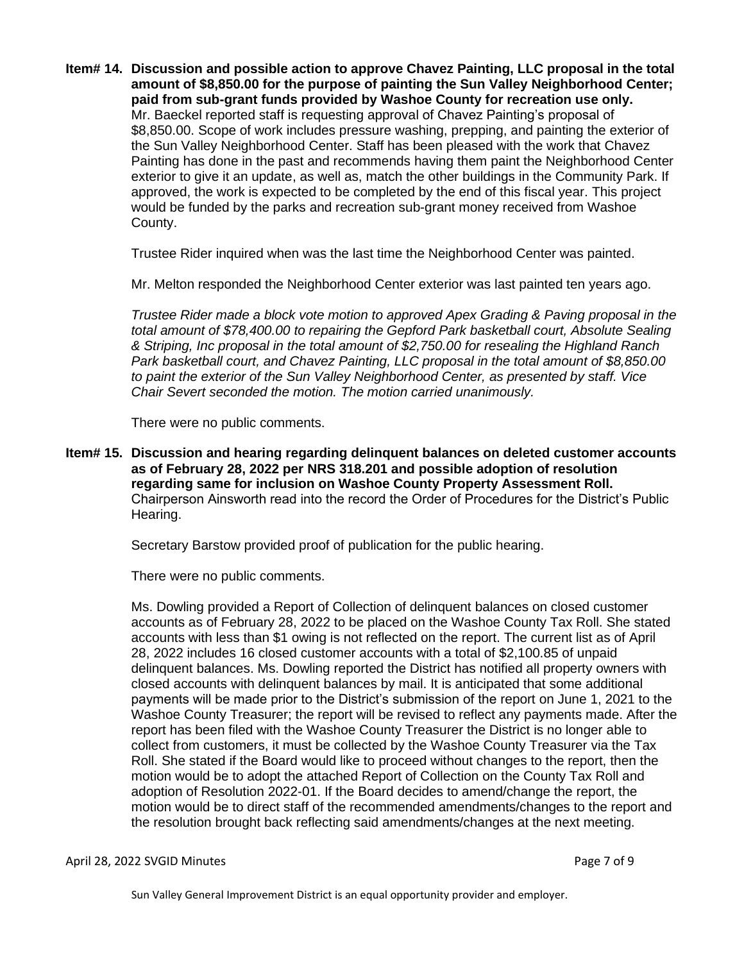**Item# 14. Discussion and possible action to approve Chavez Painting, LLC proposal in the total amount of \$8,850.00 for the purpose of painting the Sun Valley Neighborhood Center; paid from sub-grant funds provided by Washoe County for recreation use only.** Mr. Baeckel reported staff is requesting approval of Chavez Painting's proposal of \$8,850.00. Scope of work includes pressure washing, prepping, and painting the exterior of the Sun Valley Neighborhood Center. Staff has been pleased with the work that Chavez Painting has done in the past and recommends having them paint the Neighborhood Center exterior to give it an update, as well as, match the other buildings in the Community Park. If approved, the work is expected to be completed by the end of this fiscal year. This project would be funded by the parks and recreation sub-grant money received from Washoe County.

Trustee Rider inquired when was the last time the Neighborhood Center was painted.

Mr. Melton responded the Neighborhood Center exterior was last painted ten years ago.

*Trustee Rider made a block vote motion to approved Apex Grading & Paving proposal in the total amount of \$78,400.00 to repairing the Gepford Park basketball court, Absolute Sealing & Striping, Inc proposal in the total amount of \$2,750.00 for resealing the Highland Ranch Park basketball court, and Chavez Painting, LLC proposal in the total amount of \$8,850.00 to paint the exterior of the Sun Valley Neighborhood Center, as presented by staff. Vice Chair Severt seconded the motion. The motion carried unanimously.* 

There were no public comments.

**Item# 15. Discussion and hearing regarding delinquent balances on deleted customer accounts as of February 28, 2022 per NRS 318.201 and possible adoption of resolution regarding same for inclusion on Washoe County Property Assessment Roll.**  Chairperson Ainsworth read into the record the Order of Procedures for the District's Public Hearing.

Secretary Barstow provided proof of publication for the public hearing.

There were no public comments.

Ms. Dowling provided a Report of Collection of delinquent balances on closed customer accounts as of February 28, 2022 to be placed on the Washoe County Tax Roll. She stated accounts with less than \$1 owing is not reflected on the report. The current list as of April 28, 2022 includes 16 closed customer accounts with a total of \$2,100.85 of unpaid delinquent balances. Ms. Dowling reported the District has notified all property owners with closed accounts with delinquent balances by mail. It is anticipated that some additional payments will be made prior to the District's submission of the report on June 1, 2021 to the Washoe County Treasurer; the report will be revised to reflect any payments made. After the report has been filed with the Washoe County Treasurer the District is no longer able to collect from customers, it must be collected by the Washoe County Treasurer via the Tax Roll. She stated if the Board would like to proceed without changes to the report, then the motion would be to adopt the attached Report of Collection on the County Tax Roll and adoption of Resolution 2022-01. If the Board decides to amend/change the report, the motion would be to direct staff of the recommended amendments/changes to the report and the resolution brought back reflecting said amendments/changes at the next meeting.

April 28, 2022 SVGID Minutes **Page 7** of 9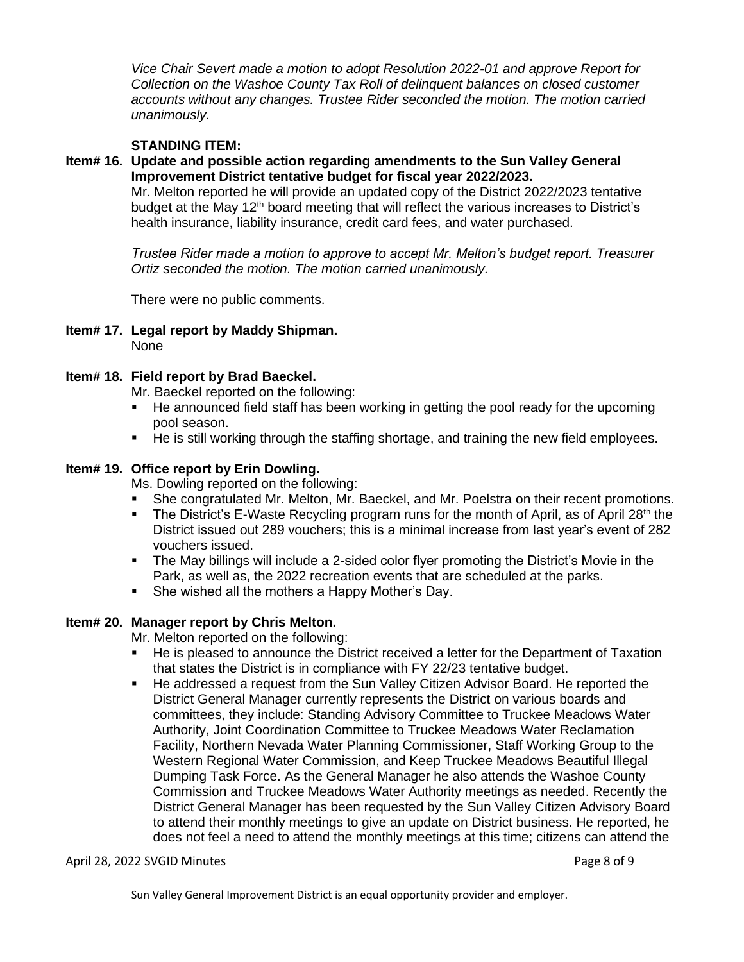*Vice Chair Severt made a motion to adopt Resolution 2022-01 and approve Report for Collection on the Washoe County Tax Roll of delinquent balances on closed customer accounts without any changes. Trustee Rider seconded the motion. The motion carried unanimously.*

### **STANDING ITEM:**

# **Item# 16. Update and possible action regarding amendments to the Sun Valley General Improvement District tentative budget for fiscal year 2022/2023.**

Mr. Melton reported he will provide an updated copy of the District 2022/2023 tentative budget at the May 12<sup>th</sup> board meeting that will reflect the various increases to District's health insurance, liability insurance, credit card fees, and water purchased.

*Trustee Rider made a motion to approve to accept Mr. Melton's budget report. Treasurer Ortiz seconded the motion. The motion carried unanimously.*

There were no public comments.

**Item# 17. Legal report by Maddy Shipman.** None

### **Item# 18. Field report by Brad Baeckel.**

Mr. Baeckel reported on the following:

- He announced field staff has been working in getting the pool ready for the upcoming pool season.
- He is still working through the staffing shortage, and training the new field employees.

#### **Item# 19. Office report by Erin Dowling.**

Ms. Dowling reported on the following:

- **She congratulated Mr. Melton, Mr. Baeckel, and Mr. Poelstra on their recent promotions.**
- **•** The District's E-Waste Recycling program runs for the month of April, as of April 28<sup>th</sup> the District issued out 289 vouchers; this is a minimal increase from last year's event of 282 vouchers issued.
- **•** The May billings will include a 2-sided color flyer promoting the District's Movie in the Park, as well as, the 2022 recreation events that are scheduled at the parks.
- She wished all the mothers a Happy Mother's Day.

### **Item# 20. Manager report by Chris Melton.**

Mr. Melton reported on the following:

- He is pleased to announce the District received a letter for the Department of Taxation that states the District is in compliance with FY 22/23 tentative budget.
- **EXE** He addressed a request from the Sun Valley Citizen Advisor Board. He reported the District General Manager currently represents the District on various boards and committees, they include: Standing Advisory Committee to Truckee Meadows Water Authority, Joint Coordination Committee to Truckee Meadows Water Reclamation Facility, Northern Nevada Water Planning Commissioner, Staff Working Group to the Western Regional Water Commission, and Keep Truckee Meadows Beautiful Illegal Dumping Task Force. As the General Manager he also attends the Washoe County Commission and Truckee Meadows Water Authority meetings as needed. Recently the District General Manager has been requested by the Sun Valley Citizen Advisory Board to attend their monthly meetings to give an update on District business. He reported, he does not feel a need to attend the monthly meetings at this time; citizens can attend the

#### April 28, 2022 SVGID Minutes **Page 8 of 9** and 2011 12:00 and 2012 12:00 and 2012 12:00 and 2012 12:00 and 2012 1